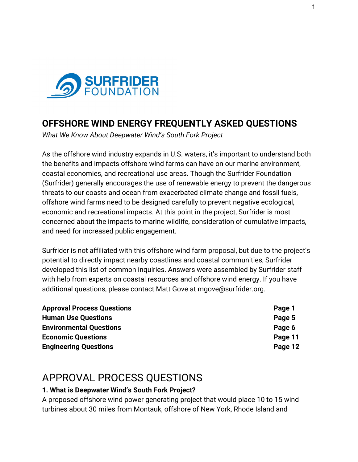

## **OFFSHORE WIND ENERGY FREQUENTLY ASKED QUESTIONS**

*What We Know About Deepwater Wind's South Fork Project*

As the offshore wind industry expands in U.S. waters, it's important to understand both the benefits and impacts offshore wind farms can have on our marine environment, coastal economies, and recreational use areas. Though the Surfrider Foundation (Surfrider) generally encourages the use of renewable energy to prevent the dangerous threats to our coasts and ocean from exacerbated climate change and fossil fuels, offshore wind farms need to be designed carefully to prevent negative ecological, economic and recreational impacts. At this point in the project, Surfrider is most concerned about the impacts to marine wildlife, consideration of cumulative impacts, and need for increased public engagement.

Surfrider is not affiliated with this offshore wind farm proposal, but due to the project's potential to directly impact nearby coastlines and coastal communities, Surfrider developed this list of common inquiries. Answers were assembled by Surfrider staff with help from experts on coastal resources and offshore wind energy. If you have additional questions, please contact Matt Gove at mgove@surfrider.org.

| Page 1  |
|---------|
| Page 5  |
| Page 6  |
| Page 11 |
| Page 12 |
|         |

## APPROVAL PROCESS QUESTIONS

#### **1. What is Deepwater Wind's South Fork Project?**

A proposed offshore wind power generating project that would place 10 to 15 wind turbines about 30 miles from Montauk, offshore of New York, Rhode Island and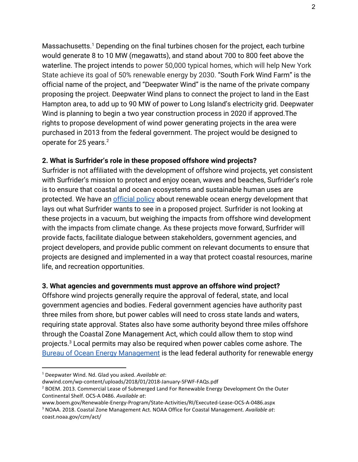Massachusetts.<sup>1</sup> Depending on the final turbines chosen for the project, each turbine would generate 8 to 10 MW (megawatts), and stand about 700 to 800 feet above the waterline. The project intends to power 50,000 typical homes, which will help New York State achieve its goal of 50% renewable energy by 2030. "South Fork Wind Farm" is the official name of the project, and "Deepwater Wind" is the name of the private company proposing the project. Deepwater Wind plans to connect the project to land in the East Hampton area, to add up to 90 MW of power to Long Island's electricity grid. Deepwater Wind is planning to begin a two year construction process in 2020 if approved.The rights to propose development of wind power generating projects in the area were purchased in 2013 from the federal government. The project would be designed to operate for 25 years.<sup>2</sup>

#### **2. What is Surfrider's role in these proposed offshore wind projects?**

Surfrider is not affiliated with the development of offshore wind projects, yet consistent with Surfrider's mission to protect and enjoy ocean, waves and beaches, Surfrider's role is to ensure that coastal and ocean ecosystems and sustainable human uses are protected. We have an [official policy](https://www.surfrider.org/pages/policy-on-renewable-ocean-energy) about renewable ocean energy development that lays out what Surfrider wants to see in a proposed project. Surfrider is not looking at these projects in a vacuum, but weighing the impacts from offshore wind development with the impacts from climate change. As these projects move forward, Surfrider will provide facts, facilitate dialogue between stakeholders, government agencies, and project developers, and provide public comment on relevant documents to ensure that projects are designed and implemented in a way that protect coastal resources, marine life, and recreation opportunities.

#### **3. What agencies and governments must approve an offshore wind project?**

Offshore wind projects generally require the approval of federal, state, and local government agencies and bodies. Federal government agencies have authority past three miles from shore, but power cables will need to cross state lands and waters, requiring state approval. States also have some authority beyond three miles offshore through the Coastal Zone Management Act, which could allow them to stop wind projects.<sup>3</sup> Local permits may also be required when power cables come ashore. The [Bureau of Ocean Energy Management](https://www.boem.gov/renewable-energy/) is the lead federal authority for renewable energy

<sup>1</sup> Deepwater Wind. Nd. Glad you asked. *Available at*:

dwwind.com/wp-content/uploads/2018/01/2018-January-SFWF-FAQs.pdf

<sup>&</sup>lt;sup>2</sup> BOEM. 2013. Commercial Lease of Submerged Land For Renewable Energy Development On the Outer Continental Shelf. OCS-A 0486. *Available at*:

www.boem.gov/Renewable-Energy-Program/State-Activities/RI/Executed-Lease-OCS-A-0486.aspx <sup>3</sup> NOAA. 2018. Coastal Zone Management Act. NOAA Office for Coastal Management. *Available at*: coast.noaa.gov/czm/act/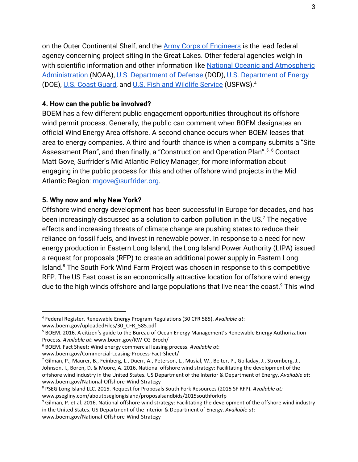on the Outer Continental Shelf, and the [Army Corps of Engineers](https://www.usace.army.mil/Missions/Sustainability/Expertise-in-Sustainability/Wind-Energy/) is the lead federal agency concerning project siting in the Great Lakes. Other federal agencies weigh in with scientific information and other information like [National Oceanic and Atmospheric](http://www.energy.noaa.gov/renewable-energy/) [Administration](http://www.energy.noaa.gov/renewable-energy/) (NOAA), [U.S. Department of Defense](https://www.acq.osd.mil/dodsc/) (DOD), [U.S. Department of Energy](https://www.energy.gov/eere/wind/offshore-wind-research-and-development) (DOE), [U.S. Coast Guard,](https://www.dcms.uscg.mil/Our-Organization/Assistant-Commandant-for-Engineering-Logistics-CG-4-/Program-Offices/Energy-Management/) and [U.S. Fish and Wildlife Service](https://www.fws.gov/ecological-services/energy-development/energy.html) (USFWS).<sup>4</sup>

#### **4. How can the public be involved?**

BOEM has a few different public engagement opportunities throughout its offshore wind permit process. Generally, the public can comment when BOEM designates an official Wind Energy Area offshore. A second chance occurs when BOEM leases that area to energy companies. A third and fourth chance is when a company submits a "Site Assessment Plan", and then finally, a "Construction and Operation Plan".<sup>5, 6</sup> Contact Matt Gove, Surfrider's Mid Atlantic Policy Manager, for more information about engaging in the public process for this and other offshore wind projects in the Mid Atlantic Region: [mgove@surfrider.org.](mailto:mgove@surfrider.org)

#### **5. Why now and why New York?**

Offshore wind energy development has been successful in Europe for decades, and has been increasingly discussed as a solution to carbon pollution in the US. $<sup>7</sup>$  The negative</sup> effects and increasing threats of climate change are pushing states to reduce their reliance on fossil fuels, and invest in renewable power. In response to a need for new energy production in Eastern Long Island, the Long Island Power Authority (LIPA) issued a request for proposals (RFP) to create an additional power supply in Eastern Long Island.<sup>8</sup> The South Fork Wind Farm Project was chosen in response to this competitive RFP. The US East coast is an economically attractive location for offshore wind energy due to the high winds offshore and large populations that live near the coast.<sup>9</sup> This wind

www.boem.gov/Commercial-Leasing-Process-Fact-Sheet/

<sup>4</sup> Federal Register. Renewable Energy Program Regulations (30 CFR 585). *Available at*: www.boem.gov/uploadedFiles/30\_CFR\_585.pdf

<sup>&</sup>lt;sup>5</sup> BOEM. 2016. A citizen's guide to the Bureau of Ocean Energy Management's Renewable Energy Authorization Process. *Available at*: www.boem.gov/KW-CG-Broch/

<sup>6</sup> BOEM. Fact Sheet: Wind energy commercial leasing process. *Available at*:

<sup>&</sup>lt;sup>7</sup> Gilman, P., Maurer, B., Feinberg, L., Duerr, A., Peterson, L., Musial, W., Beiter, P., Golladay, J., Stromberg, J., Johnson, I., Boren, D. & Moore, A. 2016. National offshore wind strategy: Facilitating the development of the offshore wind industry in the United States. US Department of the Interior & Department of Energy. *Available at*: www.boem.gov/National-Offshore-Wind-Strategy

<sup>8</sup> PSEG Long Island LLC. 2015. Request for Proposals South Fork Resources (2015 SF RFP). *Available at:* www.psegliny.com/aboutpseglongisland/proposalsandbids/2015southforkrfp

<sup>&</sup>lt;sup>9</sup> Gilman, P. et al. 2016. National offshore wind strategy: Facilitating the development of the offshore wind industry in the United States. US Department of the Interior & Department of Energy. *Available at*: www.boem.gov/National-Offshore-Wind-Strategy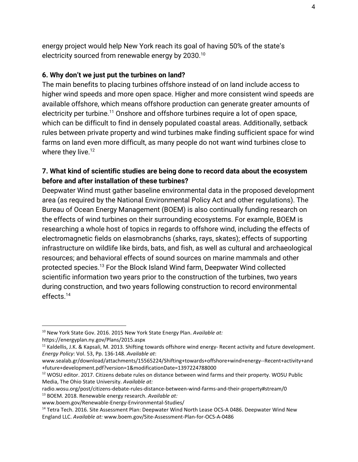energy project would help New York reach its goal of having 50% of the state's electricity sourced from renewable energy by 2030.<sup>10</sup>

#### **6. Why don't we just put the turbines on land?**

The main benefits to placing turbines offshore instead of on land include access to higher wind speeds and more open space. Higher and more consistent wind speeds are available offshore, which means offshore production can generate greater amounts of electricity per turbine.<sup>11</sup> Onshore and offshore turbines require a lot of open space, which can be difficult to find in densely populated coastal areas. Additionally, setback rules between private property and wind turbines make finding sufficient space for wind farms on land even more difficult, as many people do not want wind turbines close to where they live.<sup>12</sup>

#### **7. What kind of scientific studies are being done to record data about the ecosystem before and after installation of these turbines?**

Deepwater Wind must gather baseline environmental data in the proposed development area (as required by the National Environmental Policy Act and other regulations). The Bureau of Ocean Energy Management (BOEM) is also continually funding research on the effects of wind turbines on their surrounding ecosystems. For example, BOEM is researching a whole host of topics in regards to offshore wind, including the effects of electromagnetic fields on elasmobranchs (sharks, rays, skates); effects of supporting infrastructure on wildlife like birds, bats, and fish, as well as cultural and archaeological resources; and behavioral effects of sound sources on marine mammals and other protected species.<sup>13</sup> For the Block Island Wind farm, Deepwater Wind collected scientific information two years prior to the construction of the turbines, two years during construction, and two years following construction to record environmental effects.<sup>14</sup>

<sup>10</sup> New York State Gov. 2016. 2015 New York State Energy Plan. *Available at:* https://energyplan.ny.gov/Plans/2015.aspx

<sup>&</sup>lt;sup>11</sup> Kaldellis, J.K. & Kapsali, M. 2013. Shifting towards offshore wind energy- Recent activity and future development. *Energy Policy*: Vol. 53, Pp. 136-148. *Available at*:

www.sealab.gr/download/attachments/15565224/Shifting+towards+offshore+wind+energy--Recent+activity+and +future+development.pdf?version=1&modificationDate=1397224788000

<sup>&</sup>lt;sup>12</sup> WOSU editor. 2017. Citizens debate rules on distance between wind farms and their property. WOSU Public Media, The Ohio State University. *Available at:*

radio.wosu.org/post/citizens-debate-rules-distance-between-wind-farms-and-their-property#stream/0 <sup>13</sup> BOEM. 2018. Renewable energy research. *Available at:*

www.boem.gov/Renewable-Energy-Environmental-Studies/

<sup>&</sup>lt;sup>14</sup> Tetra Tech. 2016. Site Assessment Plan: Deepwater Wind North Lease OCS-A 0486. Deepwater Wind New England LLC. *Available at:* www.boem.gov/Site-Assessment-Plan-for-OCS-A-0486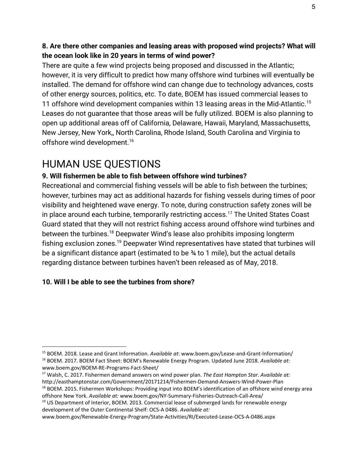#### **8. Are there other companies and leasing areas with proposed wind projects? What will the ocean look like in 20 years in terms of wind power?**

There are quite a few wind projects being proposed and discussed in the Atlantic; however, it is very difficult to predict how many offshore wind turbines will eventually be installed. The demand for offshore wind can change due to technology advances, costs of other energy sources, politics, etc. To date, BOEM has issued commercial leases to 11 offshore wind development companies within 13 leasing areas in the Mid-Atlantic.<sup>15</sup> Leases do not guarantee that those areas will be fully utilized. BOEM is also planning to open up additional areas off of California, Delaware, Hawaii, Maryland, Massachusetts, New Jersey, New York,, North Carolina, Rhode Island, South Carolina and Virginia to offshore wind development.<sup>16</sup>

## HUMAN USE QUESTIONS

### **9. Will fishermen be able to fish between offshore wind turbines?**

Recreational and commercial fishing vessels will be able to fish between the turbines; however, turbines may act as additional hazards for fishing vessels during times of poor visibility and heightened wave energy. To note, during construction safety zones will be in place around each turbine, temporarily restricting access.<sup>17</sup> The United States Coast Guard stated that they will not restrict fishing access around offshore wind turbines and between the turbines.<sup>18</sup> Deepwater Wind's lease also prohibits imposing longterm fishing exclusion zones.<sup>19</sup> Deepwater Wind representatives have stated that turbines will be a significant distance apart (estimated to be ¾ to 1 mile), but the actual details regarding distance between turbines haven't been released as of May, 2018.

### **10. Will I be able to see the turbines from shore?**

<sup>19</sup> US Department of Interior, BOEM. 2013. Commercial lease of submerged lands for renewable energy development of the Outer Continental Shelf: OCS-A 0486. *Available at:*

<sup>15</sup> BOEM. 2018. Lease and Grant Information. *Available at*: www.boem.gov/Lease-and-Grant-Information/ <sup>16</sup> BOEM. 2017. BOEM Fact Sheet: BOEM's Renewable Energy Program. Updated June 2018. *Available at:* www.boem.gov/BOEM-RE-Programs-Fact-Sheet/

<sup>17</sup> Walsh, C. 2017. Fishermen demand answers on wind power plan. *The East Hampton Star*. *Available at:* http://easthamptonstar.com/Government/20171214/Fishermen-Demand-Answers-Wind-Power-Plan

<sup>&</sup>lt;sup>18</sup> BOEM. 2015. Fishermen Workshops: Providing input into BOEM's identification of an offshore wind energy area offshore New York. *Available at:* www.boem.gov/NY-Summary-Fisheries-Outreach-Call-Area/

www.boem.gov/Renewable-Energy-Program/State-Activities/RI/Executed-Lease-OCS-A-0486.aspx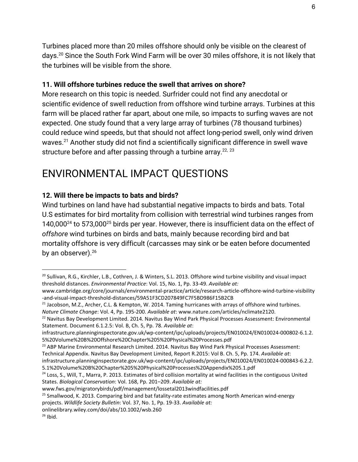Turbines placed more than 20 miles offshore should only be visible on the clearest of days.<sup>20</sup> Since the South Fork Wind Farm will be over 30 miles offshore, it is not likely that the turbines will be visible from the shore.

### **11. Will offshore turbines reduce the swell that arrives on shore?**

More research on this topic is needed. Surfrider could not find any anecdotal or scientific evidence of swell reduction from offshore wind turbine arrays. Turbines at this farm will be placed rather far apart, about one mile, so impacts to surfing waves are not expected. One study found that a very large array of turbines (78 thousand turbines) could reduce wind speeds, but that should not affect long-period swell, only wind driven waves.<sup>21</sup> Another study did not find a scientifically significant difference in swell wave structure before and after passing through a turbine array.<sup>22, 23</sup>

# ENVIRONMENTAL IMPACT QUESTIONS

## **12. Will there be impacts to bats and birds?**

Wind turbines on land have had substantial negative impacts to birds and bats. Total U.S estimates for bird mortality from collision with terrestrial wind turbines ranges from 140,000 $^{24}$  to 573,000 $^{25}$  birds per year. However, there is insufficient data on the effect of *offshore* wind turbines on birds and bats, mainly because recording bird and bat mortality offshore is very difficult (carcasses may sink or be eaten before documented by an observer).<sup>26</sup>

<sup>&</sup>lt;sup>20</sup> Sullivan, R.G., Kirchler, L.B., Cothren, J. & Winters, S.L. 2013. Offshore wind turbine visibility and visual impact threshold distances. *Environmental Practice*: Vol. 15, No. 1, Pp. 33-49. *Available at:*

www.cambridge.org/core/journals/environmental-practice/article/research-article-offshore-wind-turbine-visibility -and-visual-impact-threshold-distances/59A51F3CD207849FC7F5BD986F15B2CB

<sup>&</sup>lt;sup>21</sup> Jacobson, M.Z., Archer, C.L. & Kempton, W. 2014. Taming hurricanes with arrays of offshore wind turbines. *Nature Climate Change*: Vol. 4, Pp. 195-200. *Available at*: www.nature.com/articles/nclimate2120.

<sup>&</sup>lt;sup>22</sup> Navitus Bay Development Limited. 2014. Navitus Bay Wind Park Physical Processes Assessment: Environmental Statement. Document 6.1.2.5: Vol. B, Ch. 5, Pp. 78. *Available at*:

infrastructure.planninginspectorate.gov.uk/wp-content/ipc/uploads/projects/EN010024/EN010024-000802-6.1.2. 5%20Volume%20B%20Offshore%20Chapter%205%20Physical%20Processes.pdf

<sup>&</sup>lt;sup>23</sup> ABP Marine Environmental Research Limited. 2014. Navitus Bay Wind Park Physical Processes Assessment: Technical Appendix. Navitus Bay Development Limited, Report R.2015: Vol B. Ch. 5, Pp. 174. *Available at*:

infrastructure.planninginspectorate.gov.uk/wp-content/ipc/uploads/projects/EN010024/EN010024-000843-6.2.2. 5.1%20Volume%20B%20Chapter%205%20Physical%20Processes%20Appendix%205.1.pdf

<sup>&</sup>lt;sup>24</sup> Loss, S., Will, T., Marra, P. 2013. Estimates of bird collision mortality at wind facilities in the contiguous United States. *Biological Conservation*: Vol. 168, Pp. 201–209. *Available at:*

www.fws.gov/migratorybirds/pdf/management/lossetal2013windfacilities.pdf

<sup>&</sup>lt;sup>25</sup> Smallwood, K. 2013. Comparing bird and bat fatality-rate estimates among North American wind-energy projects. *Wildlife Society Bulletin*: Vol. 37, No. 1, Pp. 19-33. *Available at:*

onlinelibrary.wiley.com/doi/abs/10.1002/wsb.260

 $26$  Ibid.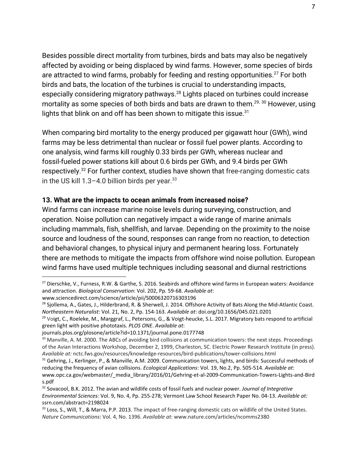Besides possible direct mortality from turbines, birds and bats may also be negatively affected by avoiding or being displaced by wind farms. However, some species of birds are attracted to wind farms, probably for feeding and resting opportunities.<sup>27</sup> For both birds and bats, the location of the turbines is crucial to understanding impacts, especially considering migratory pathways.<sup>28</sup> Lights placed on turbines could increase mortality as some species of both birds and bats are drawn to them. $^{29,~30}$  However, using lights that blink on and off has been shown to mitigate this issue.<sup>31</sup>

When comparing bird mortality to the energy produced per gigawatt hour (GWh), wind farms may be less detrimental than nuclear or fossil fuel power plants. According to one analysis, wind farms kill roughly 0.33 birds per GWh, whereas nuclear and fossil-fueled power stations kill about 0.6 birds per GWh, and 9.4 birds per GWh respectively.<sup>32</sup> For further context, studies have shown that free-ranging domestic cats in the US kill  $1.3-4.0$  billion birds per year.<sup>33</sup>

#### **13. What are the impacts to ocean animals from increased noise?**

Wind farms can increase marine noise levels during surveying, construction, and operation. Noise pollution can negatively impact a wide range of marine animals including mammals, fish, shellfish, and larvae. Depending on the proximity to the noise source and loudness of the sound, responses can range from no reaction, to detection and behavioral changes, to physical injury and permanent hearing loss. Fortunately there are methods to mitigate the impacts from offshore wind noise pollution. European wind farms have used multiple techniques including seasonal and diurnal restrictions

<sup>&</sup>lt;sup>27</sup> Dierschke, V., Furness, R.W. & Garthe, S. 2016. Seabirds and offshore wind farms in European waters: Avoidance and attraction. *Biological Conservation*: Vol. 202, Pp. 59-68. *Available at*:

www.sciencedirect.com/science/article/pii/S0006320716303196

<sup>&</sup>lt;sup>28</sup> Sjollema, A., Gates, J., Hilderbrand, R. & Sherwell, J. 2014. Offshore Activity of Bats Along the Mid-Atlantic Coast. *Northeastern Naturalist*: Vol. 21, No. 2, Pp. 154-163. *Available at*: doi.org/10.1656/045.021.0201

 $29$  Voigt, C., Roeleke, M., Marggraf, L., Petersons, G., & Voigt-heucke, S.L. 2017. Migratory bats respond to artificial green light with positive phototaxis. *PLOS ONE*. *Available at*:

journals.plos.org/plosone/article?id=10.1371/journal.pone.0177748

<sup>&</sup>lt;sup>30</sup> Manville, A. M. 2000. The ABCs of avoiding bird collisions at communication towers: the next steps. Proceedings of the Avian Interactions Workshop, December 2, 1999, Charleston, SC. Electric Power Research Institute (in press). *Available at:* nctc.fws.gov/resources/knowledge-resources/bird-publications/tower-collisions.html

<sup>&</sup>lt;sup>31</sup> Gehring, J., Kerlinger, P., & Manville, A.M. 2009. Communication towers, lights, and birds: Successful methods of reducing the frequency of avian collisions. *Ecological Applications*: Vol. 19, No.2, Pp. 505-514. *Available at*: www.opc.ca.gov/webmaster/\_media\_library/2016/01/Gehring-et-al-2009-Communication-Towers-Lights-and-Bird

s.pdf <sup>32</sup> Sovacool, B.K. 2012. The avian and wildlife costs of fossil fuels and nuclear power. *Journal of Integrative*

*Environmental Sciences:* Vol. 9, No. 4, Pp. 255-278; Vermont Law School Research Paper No. 04-13. *Available at:* ssrn.com/abstract=2198024

<sup>33</sup> Loss, S., Will, T., & Marra, P.P. 2013. The impact of free-ranging domestic cats on wildlife of the United States. *Nature Communications*: Vol. 4, No. 1396. *Available at*: www.nature.com/articles/ncomms2380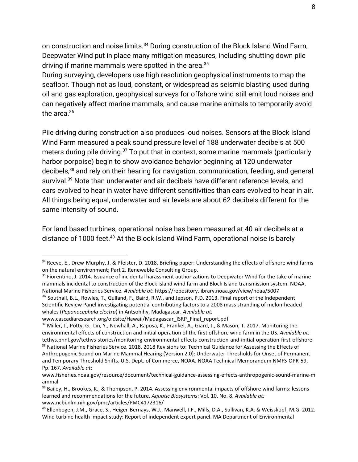on construction and noise limits.<sup>34</sup> During construction of the Block Island Wind Farm, Deepwater Wind put in place many mitigation measures, including shutting down pile driving if marine mammals were spotted in the area.<sup>35</sup>

During surveying, developers use high resolution geophysical instruments to map the seafloor. Though not as loud, constant, or widespread as seismic blasting used during oil and gas exploration, geophysical surveys for offshore wind still emit loud noises and can negatively affect marine mammals, and cause marine animals to temporarily avoid the area. $36$ 

Pile driving during construction also produces loud noises. Sensors at the Block Island Wind Farm measured a peak sound pressure level of 188 underwater decibels at 500 meters during pile driving.<sup>37</sup> To put that in context, some marine mammals (particularly harbor porpoise) begin to show avoidance behavior beginning at 120 underwater decibels,<sup>38</sup> and rely on their hearing for navigation, communication, feeding, and general survival.<sup>39</sup> Note than underwater and air decibels have different reference levels, and ears evolved to hear in water have different sensitivities than ears evolved to hear in air. All things being equal, underwater and air levels are about 62 decibels different for the same intensity of sound.

For land based turbines, operational noise has been measured at 40 air decibels at a distance of 1000 feet. $40$  At the Block Island Wind Farm, operational noise is barely

<sup>34</sup> Reeve, E., Drew-Murphy, J. & Pfeister, D. 2018. Briefing paper: Understanding the effects of offshore wind farms on the natural environment; Part 2. Renewable Consulting Group.

<sup>&</sup>lt;sup>35</sup> Fiorentino, J. 2014. Issuance of incidental harassment authorizations to Deepwater Wind for the take of marine mammals incidental to construction of the Block Island wind farm and Block Island transmission system. NOAA, National Marine Fisheries Service. *Available at*: https://repository.library.noaa.gov/view/noaa/5007 <sup>36</sup> Southall, B.L., Rowles, T., Gulland, F., Baird, R.W., and Jepson, P.D. 2013. Final report of the Independent

Scientific Review Panel investigating potential contributing factors to a 2008 mass stranding of melon-headed whales (*Peponocephala electra*) in Antsohihy, Madagascar. *Available at:*

www.cascadiaresearch.org/oldsite/Hawaii/Madagascar\_ISRP\_Final\_report.pdf

<sup>&</sup>lt;sup>37</sup> Miller, J., Potty, G., Lin, Y., Newhall, A., Raposa, K., Frankel, A., Giard, J., & Mason, T. 2017. Monitoring the environmental effects of construction and initial operation of the first offshore wind farm in the US. *Available at:* tethys.pnnl.gov/tethys-stories/monitoring-environmental-effects-construction-and-initial-operation-first-offshore <sup>38</sup> National Marine Fisheries Service. 2018. 2018 Revisions to: Technical Guidance for Assessing the Effects of

Anthropogenic Sound on Marine Mammal Hearing (Version 2.0): Underwater Thresholds for Onset of Permanent and Temporary Threshold Shifts. U.S. Dept. of Commerce, NOAA. NOAA Technical Memorandum NMFS-OPR-59, Pp. 167. *Available at*:

www.fisheries.noaa.gov/resource/document/technical-guidance-assessing-effects-anthropogenic-sound-marine-m ammal

<sup>&</sup>lt;sup>39</sup> Bailey, H., Brookes, K., & Thompson, P. 2014. Assessing environmental impacts of offshore wind farms: lessons learned and recommendations for the future. *Aquatic Biosystems*: Vol. 10, No. 8. *Available at:* www.ncbi.nlm.nih.gov/pmc/articles/PMC4172316/

<sup>40</sup> Ellenbogen, J.M., Grace, S., Heiger-Bernays, W.J., Manwell, J.F., Mills, D.A., Sullivan, K.A. & Weisskopf, M.G. 2012. Wind turbine health impact study: Report of independent expert panel. MA Department of Environmental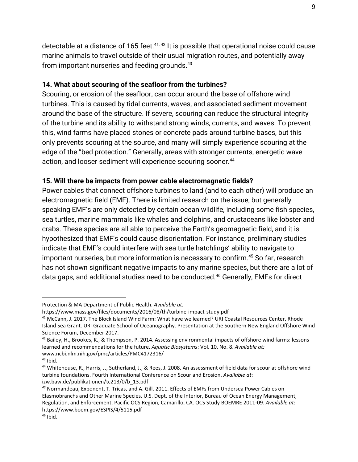detectable at a distance of 165 feet. $^{41,42}$  It is possible that operational noise could cause marine animals to travel outside of their usual migration routes, and potentially away from important nurseries and feeding grounds.<sup>43</sup>

#### **14. What about scouring of the seafloor from the turbines?**

Scouring, or erosion of the seafloor, can occur around the base of offshore wind turbines. This is caused by tidal currents, waves, and associated sediment movement around the base of the structure. If severe, scouring can reduce the structural integrity of the turbine and its ability to withstand strong winds, currents, and waves. To prevent this, wind farms have placed stones or concrete pads around turbine bases, but this only prevents scouring at the source, and many will simply experience scouring at the edge of the "bed protection." Generally, areas with stronger currents, energetic wave action, and looser sediment will experience scouring sooner.<sup>44</sup>

#### **15. Will there be impacts from power cable electromagnetic fields?**

Power cables that connect offshore turbines to land (and to each other) will produce an electromagnetic field (EMF). There is limited research on the issue, but generally speaking EMF's are only detected by certain ocean wildlife, including some fish species, sea turtles, marine mammals like whales and dolphins, and crustaceans like lobster and crabs. These species are all able to perceive the Earth's geomagnetic field, and it is hypothesized that EMF's could cause disorientation. For instance, preliminary studies indicate that EMF's could interfere with sea turtle hatchlings' ability to navigate to important nurseries, but more information is necessary to confirm.<sup>45</sup> So far, research has not shown significant negative impacts to any marine species, but there are a lot of data gaps, and additional studies need to be conducted.<sup>46</sup> Generally, EMFs for direct

Protection & MA Department of Public Health. *Available at:*

https://www.mass.gov/files/documents/2016/08/th/turbine-impact-study.pdf

<sup>&</sup>lt;sup>41</sup> McCann, J. 2017. The Block Island Wind Farm: What have we learned? URI Coastal Resources Center, Rhode Island Sea Grant. URI Graduate School of Oceanography. Presentation at the Southern New England Offshore Wind Science Forum, December 2017.

<sup>&</sup>lt;sup>42</sup> Bailey, H., Brookes, K., & Thompson, P. 2014. Assessing environmental impacts of offshore wind farms: lessons learned and recommendations for the future. *Aquatic Biosystems*: Vol. 10, No. 8. *Available at:* www.ncbi.nlm.nih.gov/pmc/articles/PMC4172316/

 $43$  Ibid.

<sup>44</sup> Whitehouse, R., Harris, J., Sutherland, J., & Rees, J. 2008. An assessment of field data for scour at offshore wind turbine foundations. Fourth International Conference on Scour and Erosion. *Available at*: izw.baw.de/publikationen/tc213/0/b\_13.pdf

*<sup>45</sup>* Normandeau, Exponent, T. Tricas, and A. Gill. 2011. Effects of EMFs from Undersea Power Cables on Elasmobranchs and Other Marine Species. U.S. Dept. of the Interior, Bureau of Ocean Energy Management, Regulation, and Enforcement, Pacific OCS Region, Camarillo, CA. OCS Study BOEMRE 2011-09. *Available at*: https://www.boem.gov/ESPIS/4/5115.pdf

 $46$  Ibid.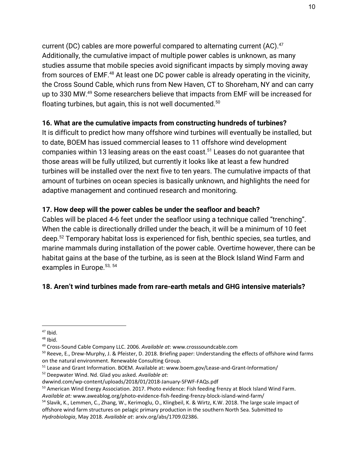current (DC) cables are more powerful compared to alternating current (AC).<sup>47</sup> Additionally, the cumulative impact of multiple power cables is unknown, as many studies assume that mobile species avoid significant impacts by simply moving away from sources of EMF.<sup>48</sup> At least one DC power cable is already operating in the vicinity, the Cross Sound Cable, which runs from New Haven, CT to Shoreham, NY and can carry up to 330 MW. $49$  Some researchers believe that impacts from EMF will be increased for floating turbines, but again, this is not well documented.<sup>50</sup>

## **16. What are the cumulative impacts from constructing hundreds of turbines?**

It is difficult to predict how many offshore wind turbines will eventually be installed, but to date, BOEM has issued commercial leases to 11 offshore wind development companies within 13 leasing areas on the east coast.<sup>51</sup> Leases do not quarantee that those areas will be fully utilized, but currently it looks like at least a few hundred turbines will be installed over the next five to ten years. The cumulative impacts of that amount of turbines on ocean species is basically unknown, and highlights the need for adaptive management and continued research and monitoring.

### **17. How deep will the power cables be under the seafloor and beach?**

Cables will be placed 4-6 feet under the seafloor using a technique called "trenching". When the cable is directionally drilled under the beach, it will be a minimum of 10 feet deep.<sup>52</sup> Temporary habitat loss is experienced for fish, benthic species, sea turtles, and marine mammals during installation of the power cable. Overtime however, there can be habitat gains at the base of the turbine, as is seen at the Block Island Wind Farm and examples in Europe.<sup>53, 54</sup>

## **18. Aren't wind turbines made from rare-earth metals and GHG intensive materials?**

<sup>52</sup> Deepwater Wind. Nd. Glad you asked. *Available at*:

 $47$  Ibid.

 $48$  Ibid.

<sup>49</sup> Cross-Sound Cable Company LLC. 2006. *Available at*: www.crosssoundcable.com

 $50$  Reeve, E., Drew-Murphy, J. & Pfeister, D. 2018. Briefing paper: Understanding the effects of offshore wind farms on the natural environment. Renewable Consulting Group.

<sup>&</sup>lt;sup>51</sup> Lease and Grant Information. BOEM. Available at: www.boem.gov/Lease-and-Grant-Information/

dwwind.com/wp-content/uploads/2018/01/2018-January-SFWF-FAQs.pdf

<sup>&</sup>lt;sup>53</sup> American Wind Energy Association. 2017. Photo evidence: Fish feeding frenzy at Block Island Wind Farm. *Available at:* www.aweablog.org/photo-evidence-fish-feeding-frenzy-block-island-wind-farm/

<sup>54</sup> Slavik, K., Lemmen, C., Zhang, W., Kerimoglu, O., Klingbeil, K. & Wirtz, K.W. 2018. The large scale impact of offshore wind farm structures on pelagic primary production in the southern North Sea. Submitted to *Hydrobiologia*, May 2018. *Available at*: arxiv.org/abs/1709.02386.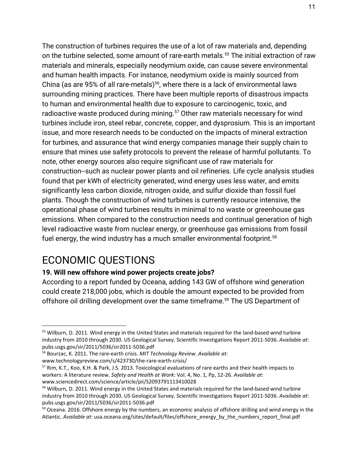The construction of turbines requires the use of a lot of raw materials and, depending on the turbine selected, some amount of rare-earth metals.<sup>55</sup> The initial extraction of raw materials and minerals, especially neodymium oxide, can cause severe environmental and human health impacts. For instance, neodymium oxide is mainly sourced from China (as are 95% of all rare-metals)<sup>56</sup>, where there is a lack of environmental laws surrounding mining practices. There have been multiple reports of disastrous impacts to human and environmental health due to exposure to carcinogenic, toxic, and radioactive waste produced during mining.<sup>57</sup> Other raw materials necessary for wind turbines include iron, steel rebar, concrete, copper, and dysprosium. This is an important issue, and more research needs to be conducted on the impacts of mineral extraction for turbines, and assurance that wind energy companies manage their supply chain to ensure that mines use safety protocols to prevent the release of harmful pollutants. To note, other energy sources also require significant use of raw materials for construction--such as nuclear power plants and oil refineries. Life cycle analysis studies found that per kWh of electricity generated, wind energy uses less water, and emits significantly less carbon dioxide, nitrogen oxide, and sulfur dioxide than fossil fuel plants. Though the construction of wind turbines is currently resource intensive, the operational phase of wind turbines results in minimal to no waste or greenhouse gas emissions. When compared to the construction needs and continual generation of high level radioactive waste from nuclear energy, or greenhouse gas emissions from fossil fuel energy, the wind industry has a much smaller environmental footprint.<sup>58</sup>

## ECONOMIC QUESTIONS

### **19. Will new offshore wind power projects create jobs?**

According to a report funded by Oceana, adding 143 GW of offshore wind generation could create 218,000 jobs, which is double the amount expected to be provided from offshore oil drilling development over the same timeframe.<sup>59</sup> The US Department of

<sup>&</sup>lt;sup>55</sup> Wilburn, D. 2011. Wind energy in the United States and materials required for the land-based wind turbine industry from 2010 through 2030. US Geological Survey. Scientific Investigations Report 2011-5036. *Available at*: pubs.usgs.gov/sir/2011/5036/sir2011-5036.pdf

<sup>56</sup> Bourzac, K. 2011. The rare-earth crisis. *MIT Technology Review*. *Available at*: www.technologyreview.com/s/423730/the-rare-earth-crisis/

<sup>&</sup>lt;sup>57</sup> Rim, K.T., Koo, K.H. & Park, J.S. 2013. Toxicological evaluations of rare earths and their health impacts to workers: A literature review. *Safety and Health at Work*: Vol. 4, No. 1, Pp, 12-26. *Available at*: www.sciencedirect.com/science/article/pii/S2093791113410028

<sup>&</sup>lt;sup>58</sup> Wilburn, D. 2011. Wind energy in the United States and materials required for the land-based wind turbine industry from 2010 through 2030. US Geological Survey. Scientific Investigations Report 2011-5036. *Available at*: pubs.usgs.gov/sir/2011/5036/sir2011-5036.pdf

<sup>&</sup>lt;sup>59</sup> Oceana. 2016. Offshore energy by the numbers, an economic analysis of offshore drilling and wind energy in the Atlantic. *Available at*: usa.oceana.org/sites/default/files/offshore\_energy\_by\_the\_numbers\_report\_final.pdf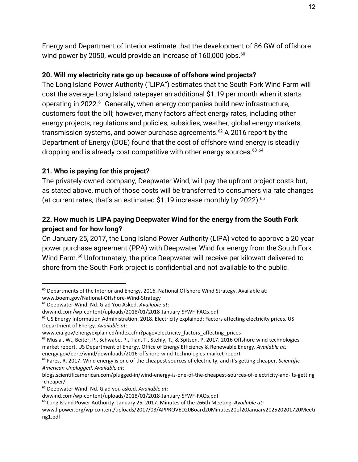Energy and Department of Interior estimate that the development of 86 GW of offshore wind power by 2050, would provide an increase of 160,000 jobs.<sup>60</sup>

## **20. Will my electricity rate go up because of offshore wind projects?**

The Long Island Power Authority ("LIPA") estimates that the South Fork Wind Farm will cost the average Long Island ratepayer an additional \$1.19 per month when it starts operating in 2022.<sup>61</sup> Generally, when energy companies build new infrastructure, customers foot the bill; however, many factors affect energy rates, including other energy projects, regulations and policies, subsidies, weather, global energy markets, transmission systems, and power purchase agreements.<sup>62</sup> A 2016 report by the Department of Energy (DOE) found that the cost of offshore wind energy is steadily dropping and is already cost competitive with other energy sources.<sup>63 64</sup>

## **21. Who is paying for this project?**

The privately-owned company, Deepwater Wind, will pay the upfront project costs but, as stated above, much of those costs will be transferred to consumers via rate changes (at current rates, that's an estimated \$1.19 increase monthly by 2022).<sup>65</sup>

## **22. How much is LIPA paying Deepwater Wind for the energy from the South Fork project and for how long?**

On January 25, 2017, the Long Island Power Authority (LIPA) voted to approve a 20 year power purchase agreement (PPA) with Deepwater Wind for energy from the South Fork Wind Farm.<sup>66</sup> Unfortunately, the price Deepwater will receive per kilowatt delivered to shore from the South Fork project is confidential and not available to the public.

 $60$  Departments of the Interior and Energy. 2016. National Offshore Wind Strategy. Available at: www.boem.gov/National-Offshore-Wind-Strategy

<sup>61</sup> Deepwater Wind. Nd. Glad You Asked. *Available at*:

dwwind.com/wp-content/uploads/2018/01/2018-January-SFWF-FAQs.pdf

 $62$  US Energy Information Administration. 2018. Electricity explained: Factors affecting electricity prices. US Department of Energy. *Available at:*

www.eia.gov/energyexplained/index.cfm?page=electricity\_factors\_affecting\_prices

<sup>&</sup>lt;sup>63</sup> Musial, W., Beiter, P., Schwabe, P., Tian, T., Stehly, T., & Spitsen, P. 2017. 2016 Offshore wind technologies market report. US Department of Energy, Office of Energy Efficiency & Renewable Energy. *Available at:* energy.gov/eere/wind/downloads/2016-offshore-wind-technologies-market-report

<sup>64</sup> Fares, R. 2017. Wind energy is one of the cheapest sources of electricity, and it's getting cheaper. *Scientific American Unplugged*. *Available at:*

blogs.scientificamerican.com/plugged-in/wind-energy-is-one-of-the-cheapest-sources-of-electricity-and-its-getting -cheaper/

<sup>65</sup> Deepwater Wind. Nd. Glad you asked. *Available at:*

dwwind.com/wp-content/uploads/2018/01/2018-January-SFWF-FAQs.pdf

<sup>66</sup> Long Island Power Authority. January 25, 2017. Minutes of the 266th Meeting. *Available at:*

www.lipower.org/wp-content/uploads/2017/03/APPROVED20Board20Minutes20of20January202520201720Meeti ng1.pdf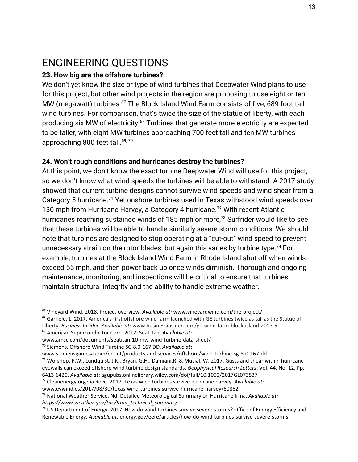# ENGINEERING QUESTIONS

#### **23. How big are the offshore turbines?**

We don't yet know the size or type of wind turbines that Deepwater Wind plans to use for this project, but other wind projects in the region are proposing to use eight or ten MW (megawatt) turbines. $67$  The Block Island Wind Farm consists of five, 689 foot tall wind turbines. For comparison, that's twice the size of the statue of liberty, with each producing six MW of electricity.<sup>68</sup> Turbines that generate more electricity are expected to be taller, with eight MW turbines approaching 700 feet tall and ten MW turbines approaching 800 feet tall.<sup>69, 70</sup>

#### **24. Won't rough conditions and hurricanes destroy the turbines?**

At this point, we don't know the exact turbine Deepwater Wind will use for this project, so we don't know what wind speeds the turbines will be able to withstand. A 2017 study showed that current turbine designs cannot survive wind speeds and wind shear from a Category 5 hurricane.<sup>71</sup> Yet onshore turbines used in Texas withstood wind speeds over 130 mph from Hurricane Harvey, a Category 4 hurricane.<sup>72</sup> With recent Atlantic hurricanes reaching sustained winds of 185 mph or more, $73$  Surfrider would like to see that these turbines will be able to handle similarly severe storm conditions. We should note that turbines are designed to stop operating at a "cut-out" wind speed to prevent unnecessary strain on the rotor blades, but again this varies by turbine type.<sup>74</sup> For example, turbines at the Block Island Wind Farm in Rhode Island shut off when winds exceed 55 mph, and then power back up once winds diminish. Thorough and ongoing maintenance, monitoring, and inspections will be critical to ensure that turbines maintain structural integrity and the ability to handle extreme weather.

<sup>67</sup> Vineyard Wind. 2018. Project overview. *Available at:* www.vineyardwind.com/the-project/

<sup>&</sup>lt;sup>68</sup> Garfield, L. 2017. America's first offshore wind farm launched with GE turbines twice as tall as the Statue of Liberty. *Business Insider*. *Available at*: www.businessinsider.com/ge-wind-farm-block-island-2017-5

<sup>69</sup> American Superconductor Corp. 2012. SeaTitan. *Available at:*

www.amsc.com/documents/seatitan-10-mw-wind-turbine-data-sheet/

<sup>70</sup> Siemens. Offshore Wind Turbine SG 8.0-167 DD. *Available at*:

www.siemensgamesa.com/en-int/products-and-services/offshore/wind-turbine-sg-8-0-167-dd  $71$  Worsnop, P.W., Lundquist, J.K., Bryan, G.H., Damiani, R. & Musial, W. 2017. Gusts and shear within hurricane eyewalls can exceed offshore wind turbine design standards. *Geophysical Research Letters*: Vol. 44, No. 12, Pp. 6413-6420. *Available at*: agupubs.onlinelibrary.wiley.com/doi/full/10.1002/2017GL073537

<sup>72</sup> Cleanenergy.org via Reve. 2017. Texas wind turbines survive hurricane harvey. *Available at*: www.evwind.es/2017/08/30/texas-wind-turbines-survive-hurricane-harvey/60862

<sup>73</sup> National Weather Service. Nd. Detailed Meteorological Summary on Hurricane Irma. *Available at: https://www.weather.gov/tae/Irma\_technical\_summary*

<sup>&</sup>lt;sup>74</sup> US Department of Energy. 2017. How do wind turbines survive severe storms? Office of Energy Efficiency and Renewable Energy. *Available at:* energy.gov/eere/articles/how-do-wind-turbines-survive-severe-storms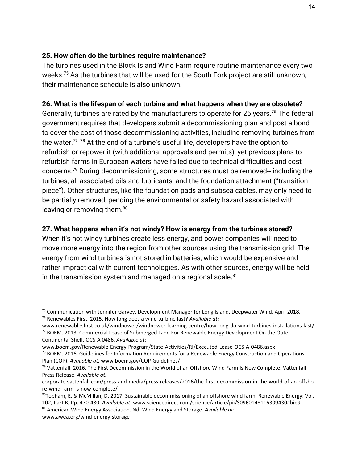#### **25. How often do the turbines require maintenance?**

The turbines used in the Block Island Wind Farm require routine maintenance every two weeks.<sup>75</sup> As the turbines that will be used for the South Fork project are still unknown, their maintenance schedule is also unknown.

#### **26. What is the lifespan of each turbine and what happens when they are obsolete?**

Generally, turbines are rated by the manufacturers to operate for 25 years.<sup>76</sup> The federal government requires that developers submit a decommissioning plan and post a bond to cover the cost of those decommissioning activities, including removing turbines from the water.<sup>77, 78</sup> At the end of a turbine's useful life, developers have the option to refurbish or repower it (with additional approvals and permits), yet previous plans to refurbish farms in European waters have failed due to technical difficulties and cost concerns.<sup>79</sup> During decommissioning, some structures must be removed-- including the turbines, all associated oils and lubricants, and the foundation attachment ("transition piece"). Other structures, like the foundation pads and subsea cables, may only need to be partially removed, pending the environmental or safety hazard associated with leaving or removing them.<sup>80</sup>

#### **27. What happens when it's not windy? How is energy from the turbines stored?**

When it's not windy turbines create less energy, and power companies will need to move more energy into the region from other sources using the transmission grid. The energy from wind turbines is not stored in batteries, which would be expensive and rather impractical with current technologies. As with other sources, energy will be held in the transmission system and managed on a regional scale. $81$ 

<sup>75</sup> Communication with Jennifer Garvey, Development Manager for Long Island. Deepwater Wind. April 2018. <sup>76</sup> Renewables First. 2015. How long does a wind turbine last? *Available at:*

www.renewablesfirst.co.uk/windpower/windpower-learning-centre/how-long-do-wind-turbines-installations-last/  $77$  BOEM. 2013. Commercial Lease of Submerged Land For Renewable Energy Development On the Outer Continental Shelf. OCS-A 0486. *Available at*:

www.boem.gov/Renewable-Energy-Program/State-Activities/RI/Executed-Lease-OCS-A-0486.aspx  $78$  BOEM. 2016. Guidelines for Information Requirements for a Renewable Energy Construction and Operations Plan (COP). *Available at:* www.boem.gov/COP-Guidelines/

<sup>&</sup>lt;sup>79</sup> Vattenfall. 2016. The First Decommission in the World of an Offshore Wind Farm Is Now Complete. Vattenfall Press Release. *Available at:*

corporate.vattenfall.com/press-and-media/press-releases/2016/the-first-decommission-in-the-world-of-an-offsho re-wind-farm-is-now-complete/

<sup>80</sup>Topham, E. & McMillan, D. 2017. Sustainable decommissioning of an offshore wind farm. Renewable Energy: Vol. 102, Part B, Pp. 470-480. *Available at*: www.sciencedirect.com/science/article/pii/S0960148116309430#bib9

<sup>81</sup> American Wind Energy Association. Nd. Wind Energy and Storage. *Available at*:

www.awea.org/wind-energy-storage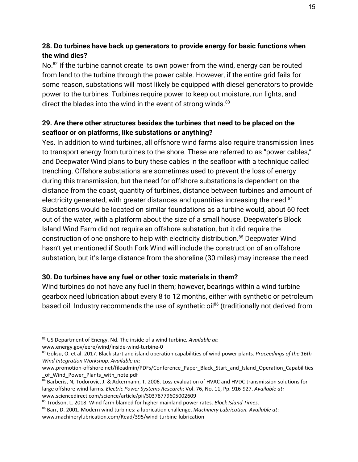## **28. Do turbines have back up generators to provide energy for basic functions when the wind dies?**

No. $82$  If the turbine cannot create its own power from the wind, energy can be routed from land to the turbine through the power cable. However, if the entire grid fails for some reason, substations will most likely be equipped with diesel generators to provide power to the turbines. Turbines require power to keep out moisture, run lights, and direct the blades into the wind in the event of strong winds.<sup>83</sup>

## **29. Are there other structures besides the turbines that need to be placed on the seafloor or on platforms, like substations or anything?**

Yes. In addition to wind turbines, all offshore wind farms also require transmission lines to transport energy from turbines to the shore. These are referred to as "power cables," and Deepwater Wind plans to bury these cables in the seafloor with a technique called trenching. Offshore substations are sometimes used to prevent the loss of energy during this transmission, but the need for offshore substations is dependent on the distance from the coast, quantity of turbines, distance between turbines and amount of electricity generated; with greater distances and quantities increasing the need.<sup>84</sup> Substations would be located on similar foundations as a turbine would, about 60 feet out of the water, with a platform about the size of a small house. Deepwater's Block Island Wind Farm did not require an offshore substation, but it did require the construction of one onshore to help with electricity distribution.<sup>85</sup> Deepwater Wind hasn't yet mentioned if South Fork Wind will include the construction of an offshore substation, but it's large distance from the shoreline (30 miles) may increase the need.

### **30. Do turbines have any fuel or other toxic materials in them?**

Wind turbines do not have any fuel in them; however, bearings within a wind turbine gearbox need lubrication about every 8 to 12 months, either with synthetic or petroleum based oil. Industry recommends the use of synthetic oil<sup>86</sup> (traditionally not derived from

<sup>82</sup> US Department of Energy. Nd. The inside of a wind turbine*. Available at*:

www.energy.gov/eere/wind/inside-wind-turbine-0

<sup>83</sup> Göksu, O. et al. 2017. Black start and island operation capabilities of wind power plants. *Proceedings of the 16th Wind Integration Workshop*. *Available at*:

www.promotion-offshore.net/fileadmin/PDFs/Conference\_Paper\_Black\_Start\_and\_Island\_Operation\_Capabilities \_of\_Wind\_Power\_Plants\_with\_note.pdf

<sup>84</sup> Barberis, N, Todorovic, J. & Ackermann, T. 2006. Loss evaluation of HVAC and HVDC transmission solutions for large offshore wind farms. *Electric Power Systems Research*: Vol. 76, No. 11, Pp. 916-927. *Available at:* www.sciencedirect.com/science/article/pii/S0378779605002609

<sup>85</sup> Trodson, L. 2018. Wind farm blamed for higher mainland power rates. *Block Island Times*.

<sup>86</sup> Barr, D. 2001. Modern wind turbines: a lubrication challenge. *Machinery Lubrication. Available at*: www.machinerylubrication.com/Read/395/wind-turbine-lubrication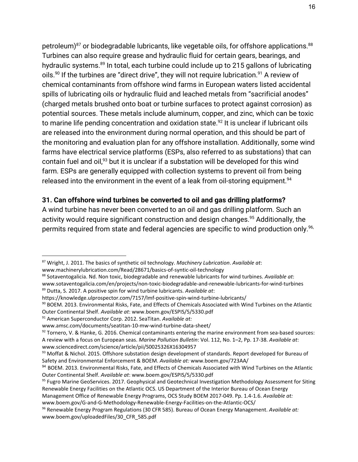petroleum) $87$  or biodegradable lubricants, like vegetable oils, for offshore applications.  $88$ Turbines can also require grease and hydraulic fluid for certain gears, bearings, and hydraulic systems.<sup>89</sup> In total, each turbine could include up to 215 gallons of lubricating oils.<sup>90</sup> If the turbines are "direct drive", they will not require lubrication.<sup>91</sup> A review of chemical contaminants from offshore wind farms in European waters listed accidental spills of lubricating oils or hydraulic fluid and leached metals from "sacrificial anodes" (charged metals brushed onto boat or turbine surfaces to protect against corrosion) as potential sources. These metals include aluminum, copper, and zinc, which can be toxic to marine life pending concentration and oxidation state.<sup>92</sup> It is unclear if lubricant oils are released into the environment during normal operation, and this should be part of the monitoring and evaluation plan for any offshore installation. Additionally, some wind farms have electrical service platforms (ESPs, also referred to as substations) that can contain fuel and oil,<sup>93</sup> but it is unclear if a substation will be developed for this wind farm. ESPs are generally equipped with collection systems to prevent oil from being released into the environment in the event of a leak from oil-storing equipment.<sup>94</sup>

#### **31. Can offshore wind turbines be converted to oil and gas drilling platforms?**

A wind turbine has never been converted to an oil and gas drilling platform. Such an activity would require significant construction and design changes.<sup>95</sup> Additionally, the permits required from state and federal agencies are specific to wind production only.<sup>96,</sup>

https://knowledge.ulprospector.com/7157/lmf-positive-spin-wind-turbine-lubricants/

<sup>87</sup> Wright, J. 2011. The basics of synthetic oil technology. *Machinery Lubrication*. *Available at*:

www.machinerylubrication.com/Read/28671/basics-of-syntic-oil-technology

<sup>88</sup> Sotaventogalicia. Nd. Non toxic, biodegradable and renewable lubricants for wind turbines. *Available at*: www.sotaventogalicia.com/en/projects/non-toxic-biodegradable-and-renewable-lubricants-for-wind-turbines <sup>89</sup> Dutta, S. 2017. A positive spin for wind turbine lubricants. *Available at*:

<sup>90</sup> BOEM. 2013. Environmental Risks, Fate, and Effects of Chemicals Associated with Wind Turbines on the Atlantic Outer Continental Shelf. *Available at*: www.boem.gov/ESPIS/5/5330.pdf

<sup>91</sup> American Superconductor Corp. 2012. SeaTitan. *Available at:*

www.amsc.com/documents/seatitan-10-mw-wind-turbine-data-sheet/

 $92$  Tornero, V. & Hanke, G. 2016. Chemical contaminants entering the marine environment from sea-based sources: A review with a focus on European seas. *Marine Pollution Bulletin*: Vol. 112, No. 1–2, Pp. 17-38. *Available at*: www.sciencedirect.com/science/article/pii/S0025326X16304957

<sup>93</sup> Moffat & Nichol. 2015. Offshore substation design development of standards. Report developed for Bureau of Safety and Environmental Enforcement & BOEM. *Available at:* www.boem.gov/723AA/

<sup>94</sup> BOEM. 2013. Environmental Risks, Fate, and Effects of Chemicals Associated with Wind Turbines on the Atlantic Outer Continental Shelf. *Available at*: www.boem.gov/ESPIS/5/5330.pdf

<sup>&</sup>lt;sup>95</sup> Fugro Marine GeoServices. 2017. Geophysical and Geotechnical Investigation Methodology Assessment for Siting Renewable Energy Facilities on the Atlantic OCS. US Department of the Interior Bureau of Ocean Energy

Management Office of Renewable Energy Programs, OCS Study BOEM 2017-049. Pp. 1.4-1.6. *Available at:* www.boem.gov/G-and-G-Methodology-Renewable-Energy-Facilities-on-the-Atlantic-OCS/

<sup>96</sup> Renewable Energy Program Regulations (30 CFR 585). Bureau of Ocean Energy Management. *Available at:* www.boem.gov/uploadedFiles/30\_CFR\_585.pdf